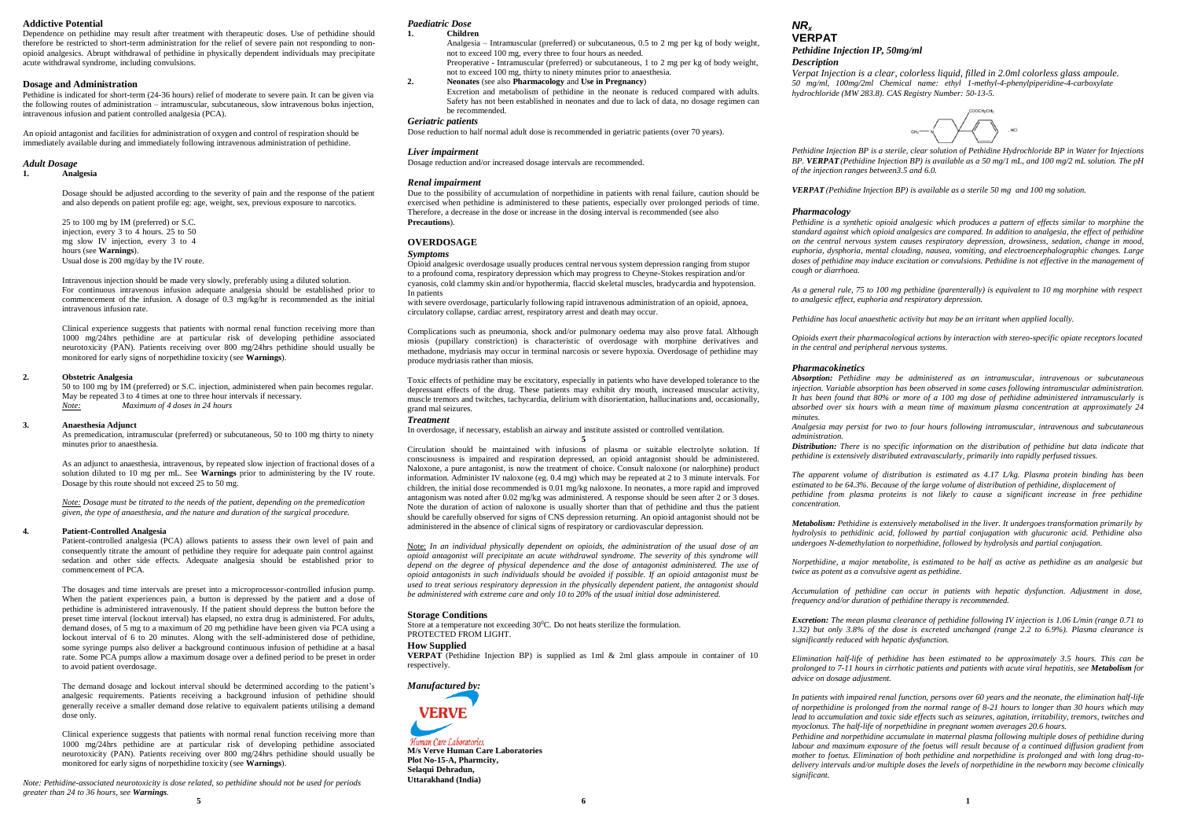# **Addictive Potential**

Dependence on pethidine may result after treatment with therapeutic doses. Use of pethidine should therefore be restricted to short-term administration for the relief of severe pain not responding to nonopioid analgesics. Abrupt withdrawal of pethidine in physically dependent individuals may precipitate acute withdrawal syndrome, including convulsions.

### **Dosage and Administration**

Pethidine is indicated for short-term (24-36 hours) relief of moderate to severe pain. It can be given via the following routes of administration – intramuscular, subcutaneous, slow intravenous bolus injection, intravenous infusion and patient controlled analgesia (PCA).

An opioid antagonist and facilities for administration of oxygen and control of respiration should be immediately available during and immediately following intravenous administration of pethidine.

# *Adult Dosage*

## **1. Analgesia**

Dosage should be adjusted according to the severity of pain and the response of the patient and also depends on patient profile eg: age, weight, sex, previous exposure to narcotics.

25 to 100 mg by IM (preferred) or S.C. injection, every 3 to 4 hours. 25 to 50 mg slow IV injection, every 3 to 4 hours (see **Warnings**). Usual dose is 200 mg/day by the IV route.

Intravenous injection should be made very slowly, preferably using a diluted solution. For continuous intravenous infusion adequate analgesia should be established prior to commencement of the infusion. A dosage of 0.3 mg/kg/hr is recommended as the initial intravenous infusion rate.

Clinical experience suggests that patients with normal renal function receiving more than 1000 mg/24hrs pethidine are at particular risk of developing pethidine associated neurotoxicity (PAN). Patients receiving over 800 mg/24hrs pethidine should usually be monitored for early signs of norpethidine toxicity (see **Warnings**).

### **2. Obstetric Analgesia**

50 to 100 mg by IM (preferred) or S.C. injection, administered when pain becomes regular. May be repeated 3 to 4 times at one to three hour intervals if necessary. *Note: Maximum of 4 doses in 24 hours*

### **3. Anaesthesia Adjunct**

As premedication, intramuscular (preferred) or subcutaneous, 50 to 100 mg thirty to ninety minutes prior to anaesthesia.

As an adjunct to anaesthesia, intravenous, by repeated slow injection of fractional doses of a solution diluted to 10 mg per mL. See **Warnings** prior to administering by the IV route. Dosage by this route should not exceed 25 to 50 mg.

*Note: Dosage must be titrated to the needs of the patient, depending on the premedication given, the type of anaesthesia, and the nature and duration of the surgical procedure.*

### **4. Patient-Controlled Analgesia**

Patient-controlled analgesia (PCA) allows patients to assess their own level of pain and consequently titrate the amount of pethidine they require for adequate pain control against sedation and other side effects. Adequate analgesia should be established prior to commencement of PCA.

The dosages and time intervals are preset into a microprocessor-controlled infusion pump. When the patient experiences pain, a button is depressed by the patient and a dose of pethidine is administered intravenously. If the patient should depress the button before the preset time interval (lockout interval) has elapsed, no extra drug is administered. For adults, demand doses, of 5 mg to a maximum of 20 mg pethidine have been given via PCA using a lockout interval of 6 to 20 minutes. Along with the self-administered dose of pethidine, some syringe pumps also deliver a background continuous infusion of pethidine at a basal rate. Some PCA pumps allow a maximum dosage over a defined period to be preset in order to avoid patient overdosage.

The demand dosage and lockout interval should be determined according to the patient's analgesic requirements. Patients receiving a background infusion of pethidine should generally receive a smaller demand dose relative to equivalent patients utilising a demand dose only.

Clinical experience suggests that patients with normal renal function receiving more than 1000 mg/24hrs pethidine are at particular risk of developing pethidine associated neurotoxicity (PAN). Patients receiving over 800 mg/24hrs pethidine should usually be monitored for early signs of norpethidine toxicity (see **Warnings**).

*Note: Pethidine-associated neurotoxicity is dose related, so pethidine should not be used for periods greater than 24 to 36 hours, see Warnings.* **5 6 1**

# *Paediatric Dose*

# **1. Children**

Analgesia – Intramuscular (preferred) or subcutaneous, 0.5 to 2 mg per kg of body weight, not to exceed 100 mg, every three to four hours as needed. Preoperative - Intramuscular (preferred) or subcutaneous, 1 to 2 mg per kg of body weight,

not to exceed 100 mg, thirty to ninety minutes prior to anaesthesia. **2. Neonates** (see also **Pharmacology** and **Use in Pregnancy**) Excretion and metabolism of pethidine in the neonate is reduced compared with adults. Safety has not been established in neonates and due to lack of data, no dosage regimen can be recommended.

### *Geriatric patients*

Dose reduction to half normal adult dose is recommended in geriatric patients (over 70 years).

### *Liver impairment*

Dosage reduction and/or increased dosage intervals are recommended.

### *Renal impairment*

Due to the possibility of accumulation of norpethidine in patients with renal failure, caution should be exercised when pethidine is administered to these patients, especially over prolonged periods of time. Therefore, a decrease in the dose or increase in the dosing interval is recommended (see also **Precautions**).

# **OVERDOSAGE**

# *Symptoms*

Opioid analgesic overdosage usually produces central nervous system depression ranging from stupor to a profound coma, respiratory depression which may progress to Cheyne-Stokes respiration and/or cyanosis, cold clammy skin and/or hypothermia, flaccid skeletal muscles, bradycardia and hypotension. In patients

with severe overdosage, particularly following rapid intravenous administration of an opioid, apnoea, circulatory collapse, cardiac arrest, respiratory arrest and death may occur.

Complications such as pneumonia, shock and/or pulmonary oedema may also prove fatal. Although miosis (pupillary constriction) is characteristic of overdosage with morphine derivatives and methadone, mydriasis may occur in terminal narcosis or severe hypoxia. Overdosage of pethidine may produce mydriasis rather than miosis.

Toxic effects of pethidine may be excitatory, especially in patients who have developed tolerance to the depressant effects of the drug. These patients may exhibit dry mouth, increased muscular activity, muscle tremors and twitches, tachycardia, delirium with disorientation, hallucinations and, occasionally, grand mal seizures.

#### *Treatment*

In overdosage, if necessary, establish an airway and institute assisted or controlled ventilation. **5**

Circulation should be maintained with infusions of plasma or suitable electrolyte solution. If consciousness is impaired and respiration depressed, an opioid antagonist should be administered. Naloxone, a pure antagonist, is now the treatment of choice. Consult naloxone (or nalorphine) product information. Administer IV naloxone (eg. 0.4 mg) which may be repeated at 2 to 3 minute intervals. For children, the initial dose recommended is 0.01 mg/kg naloxone. In neonates, a more rapid and improved antagonism was noted after 0.02 mg/kg was administered. A response should be seen after 2 or  $\overline{3}$  doses. Note the duration of action of naloxone is usually shorter than that of pethidine and thus the patient should be carefully observed for signs of CNS depression returning. An opioid antagonist should not be administered in the absence of clinical signs of respiratory or cardiovascular depression.

Note: *In an individual physically dependent on opioids, the administration of the usual dose of an opioid antagonist will precipitate an acute withdrawal syndrome. The severity of this syndrome will* depend on the degree of physical dependence and the dose of antagonist administered. The use of *opioid antagonists in such individuals should be avoided if possible. If an opioid antagonist must be used to treat serious respiratory depression in the physically dependent patient, the antagonist should be administered with extreme care and only 10 to 20% of the usual initial dose administered.*

# **Storage Conditions**

Store at a temperature not exceeding  $30^0$ C. Do not heats sterilize the formulation. PROTECTED FROM LIGHT.

## **How Supplied**

**VERPAT** (Pethidine Injection BP) is supplied as 1ml & 2ml glass ampoule in container of 10 respectively.

# *Manufactured by:*



Human Care Laboratories. **M/s Verve Human Care Laboratories Plot No-15-A, Pharmcity, Selaqui Dehradun, Uttarakhand (India)**

# *NR<sup>x</sup>* **VERPAT** *Pethidine Injection IP, 50mg/ml*

# *Description*

*Verpat Injection is a clear, colorless liquid, filled in 2.0ml colorless glass ampoule. 50 mg/ml, 100mg/2ml Chemical name: ethyl 1-methyl-4-phenylpiperidine-4-carboxylate hydrochloride (MW 283.8). CAS Registry Number: 50-13-5.*



*Pethidine Injection BP is a sterile, clear solution of Pethidine Hydrochloride BP in Water for Injections BP. VERPAT (Pethidine Injection BP) is available as a 50 mg/1 mL, and 100 mg/2 mL solution. The pH of the injection ranges between3.5 and 6.0.*

*VERPAT (Pethidine Injection BP) is available as a sterile 50 mg and 100 mg solution.*

# *Pharmacology*

*Pethidine is a synthetic opioid analgesic which produces a pattern of effects similar to morphine the standard against which opioid analgesics are compared. In addition to analgesia, the effect of pethidine on the central nervous system causes respiratory depression, drowsiness, sedation, change in mood, euphoria, dysphoria, mental clouding, nausea, vomiting, and electroencephalographic changes. Large doses of pethidine may induce excitation or convulsions. Pethidine is not effective in the management of cough or diarrhoea.*

*As a general rule, 75 to 100 mg pethidine (parenterally) is equivalent to 10 mg morphine with respect to analgesic effect, euphoria and respiratory depression.*

*Pethidine has local anaesthetic activity but may be an irritant when applied locally.*

*Opioids exert their pharmacological actions by interaction with stereo-specific opiate receptors located in the central and peripheral nervous systems.*

### *Pharmacokinetics*

*Absorption: Pethidine may be administered as an intramuscular, intravenous or subcutaneous injection. Variable absorption has been observed in some cases following intramuscular administration. It has been found that 80% or more of a 100 mg dose of pethidine administered intramuscularly is absorbed over six hours with a mean time of maximum plasma concentration at approximately 24 minutes.*

*Analgesia may persist for two to four hours following intramuscular, intravenous and subcutaneous administration.*

*Distribution: There is no specific information on the distribution of pethidine but data indicate that pethidine is extensively distributed extravascularly, primarily into rapidly perfused tissues.*

*The apparent volume of distribution is estimated as 4.17 L/kg. Plasma protein binding has been estimated to be 64.3%. Because of the large volume of distribution of pethidine, displacement of pethidine from plasma proteins is not likely to cause a significant increase in free pethidine concentration.*

*Metabolism: Pethidine is extensively metabolised in the liver. It undergoes transformation primarily by hydrolysis to pethidinic acid, followed by partial conjugation with glucuronic acid. Pethidine also undergoes N-demethylation to norpethidine, followed by hydrolysis and partial conjugation.*

*Norpethidine, a major metabolite, is estimated to be half as active as pethidine as an analgesic but twice as potent as a convulsive agent as pethidine.*

*Accumulation of pethidine can occur in patients with hepatic dysfunction. Adjustment in dose, frequency and/or duration of pethidine therapy is recommended.*

*Excretion: The mean plasma clearance of pethidine following IV injection is 1.06 L/min (range 0.71 to 1.32) but only 3.8% of the dose is excreted unchanged (range 2.2 to 6.9%). Plasma clearance is significantly reduced with hepatic dysfunction.*

*Elimination half-life of pethidine has been estimated to be approximately 3.5 hours. This can be prolonged to 7-11 hours in cirrhotic patients and patients with acute viral hepatitis, see Metabolism for advice on dosage adjustment.*

*In patients with impaired renal function, persons over 60 years and the neonate, the elimination half-life of norpethidine is prolonged from the normal range of 8-21 hours to longer than 30 hours which may lead to accumulation and toxic side effects such as seizures, agitation, irritability, tremors, twitches and myoclonus. The half-life of norpethidine in pregnant women averages 20.6 hours.*

*Pethidine and norpethidine accumulate in maternal plasma following multiple doses of pethidine during labour and maximum exposure of the foetus will result because of a continued diffusion gradient from mother to foetus. Elimination of both pethidine and norpethidine is prolonged and with long drug-todelivery intervals and/or multiple doses the levels of norpethidine in the newborn may become clinically significant.*